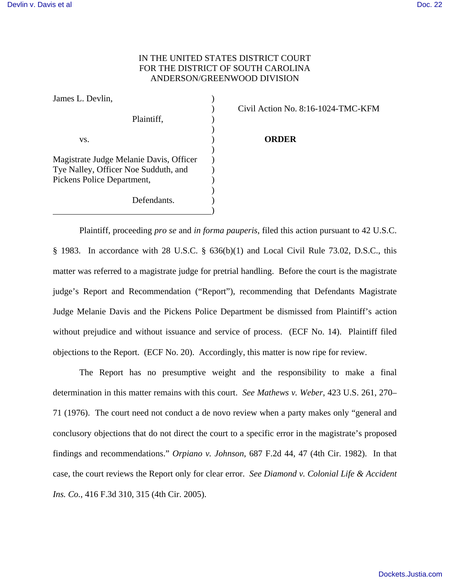## IN THE UNITED STATES DISTRICT COURT FOR THE DISTRICT OF SOUTH CAROLINA ANDERSON/GREENWOOD DIVISION

| James L. Devlin,                        |  |
|-----------------------------------------|--|
|                                         |  |
| Plaintiff,                              |  |
|                                         |  |
| VS.                                     |  |
|                                         |  |
| Magistrate Judge Melanie Davis, Officer |  |
| Tye Nalley, Officer Noe Sudduth, and    |  |
| Pickens Police Department,              |  |
|                                         |  |
| Defendants.                             |  |
|                                         |  |

) Civil Action No. 8:16-1024-TMC-KFM

## **ORDER**

Plaintiff, proceeding *pro se* and *in forma pauperis*, filed this action pursuant to 42 U.S.C. § 1983. In accordance with 28 U.S.C. § 636(b)(1) and Local Civil Rule 73.02, D.S.C., this matter was referred to a magistrate judge for pretrial handling. Before the court is the magistrate judge's Report and Recommendation ("Report"), recommending that Defendants Magistrate Judge Melanie Davis and the Pickens Police Department be dismissed from Plaintiff's action without prejudice and without issuance and service of process. (ECF No. 14). Plaintiff filed objections to the Report. (ECF No. 20). Accordingly, this matter is now ripe for review.

 The Report has no presumptive weight and the responsibility to make a final determination in this matter remains with this court. *See Mathews v. Weber*, 423 U.S. 261, 270– 71 (1976). The court need not conduct a de novo review when a party makes only "general and conclusory objections that do not direct the court to a specific error in the magistrate's proposed findings and recommendations." *Orpiano v. Johnson*, 687 F.2d 44, 47 (4th Cir. 1982). In that case, the court reviews the Report only for clear error. *See Diamond v. Colonial Life & Accident Ins. Co.*, 416 F.3d 310, 315 (4th Cir. 2005).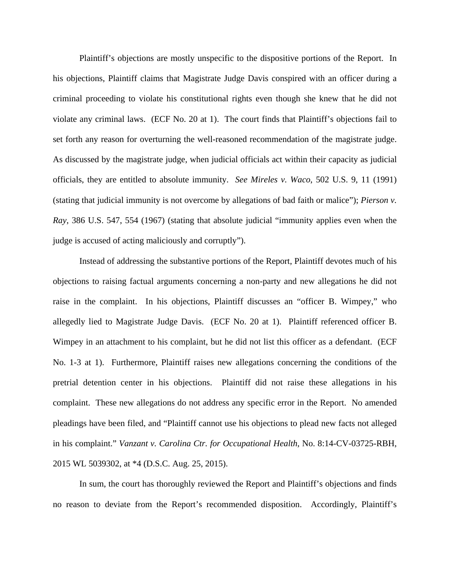Plaintiff's objections are mostly unspecific to the dispositive portions of the Report. In his objections, Plaintiff claims that Magistrate Judge Davis conspired with an officer during a criminal proceeding to violate his constitutional rights even though she knew that he did not violate any criminal laws. (ECF No. 20 at 1). The court finds that Plaintiff's objections fail to set forth any reason for overturning the well-reasoned recommendation of the magistrate judge. As discussed by the magistrate judge, when judicial officials act within their capacity as judicial officials, they are entitled to absolute immunity. *See Mireles v. Waco*, 502 U.S. 9, 11 (1991) (stating that judicial immunity is not overcome by allegations of bad faith or malice"); *Pierson v. Ray*, 386 U.S. 547, 554 (1967) (stating that absolute judicial "immunity applies even when the judge is accused of acting maliciously and corruptly").

 Instead of addressing the substantive portions of the Report, Plaintiff devotes much of his objections to raising factual arguments concerning a non-party and new allegations he did not raise in the complaint. In his objections, Plaintiff discusses an "officer B. Wimpey," who allegedly lied to Magistrate Judge Davis. (ECF No. 20 at 1). Plaintiff referenced officer B. Wimpey in an attachment to his complaint, but he did not list this officer as a defendant. (ECF No. 1-3 at 1). Furthermore, Plaintiff raises new allegations concerning the conditions of the pretrial detention center in his objections. Plaintiff did not raise these allegations in his complaint. These new allegations do not address any specific error in the Report. No amended pleadings have been filed, and "Plaintiff cannot use his objections to plead new facts not alleged in his complaint." *Vanzant v. Carolina Ctr. for Occupational Health*, No. 8:14-CV-03725-RBH, 2015 WL 5039302, at \*4 (D.S.C. Aug. 25, 2015).

 In sum, the court has thoroughly reviewed the Report and Plaintiff's objections and finds no reason to deviate from the Report's recommended disposition. Accordingly, Plaintiff's